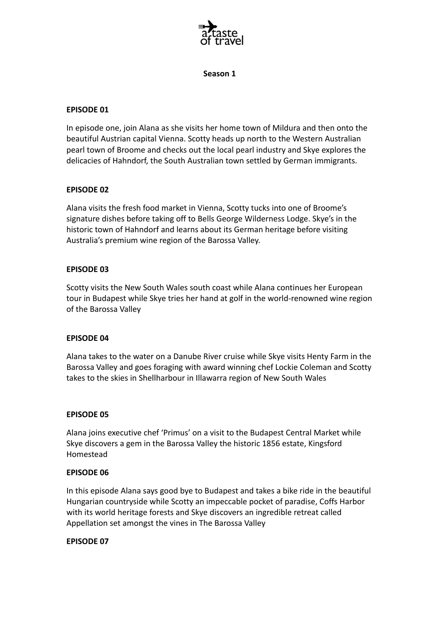

## **Season 1**

### **EPISODE 01**

In episode one, join Alana as she visits her home town of Mildura and then onto the beautiful Austrian capital Vienna. Scotty heads up north to the Western Australian pearl town of Broome and checks out the local pearl industry and Skye explores the delicacies of Hahndorf, the South Australian town settled by German immigrants.

## **EPISODE 02**

Alana visits the fresh food market in Vienna, Scotty tucks into one of Broome's signature dishes before taking off to Bells George Wilderness Lodge. Skye's in the historic town of Hahndorf and learns about its German heritage before visiting Australia's premium wine region of the Barossa Valley.

## **EPISODE 03**

Scotty visits the New South Wales south coast while Alana continues her European tour in Budapest while Skye tries her hand at golf in the world-renowned wine region of the Barossa Valley

#### **EPISODE 04**

Alana takes to the water on a Danube River cruise while Skye visits Henty Farm in the Barossa Valley and goes foraging with award winning chef Lockie Coleman and Scotty takes to the skies in Shellharbour in Illawarra region of New South Wales

## **EPISODE 05**

Alana joins executive chef 'Primus' on a visit to the Budapest Central Market while Skye discovers a gem in the Barossa Valley the historic 1856 estate, Kingsford Homestead

#### **EPISODE 06**

In this episode Alana says good bye to Budapest and takes a bike ride in the beautiful Hungarian countryside while Scotty an impeccable pocket of paradise, Coffs Harbor with its world heritage forests and Skye discovers an ingredible retreat called Appellation set amongst the vines in The Barossa Valley

## **EPISODE 07**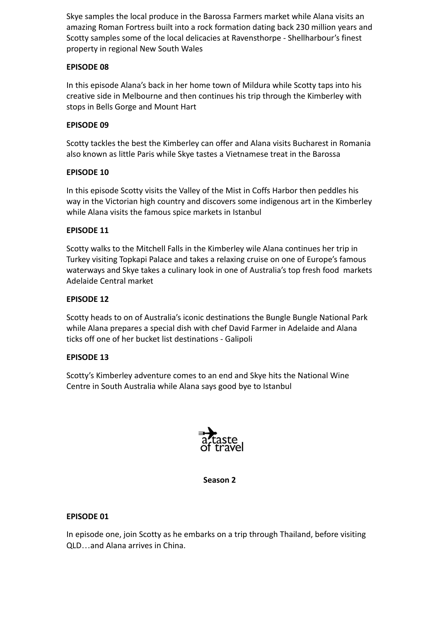Skye samples the local produce in the Barossa Farmers market while Alana visits an amazing Roman Fortress built into a rock formation dating back 230 million years and Scotty samples some of the local delicacies at Ravensthorpe - Shellharbour's finest property in regional New South Wales

## **EPISODE 08**

In this episode Alana's back in her home town of Mildura while Scotty taps into his creative side in Melbourne and then continues his trip through the Kimberley with stops in Bells Gorge and Mount Hart

## **EPISODE 09**

Scotty tackles the best the Kimberley can offer and Alana visits Bucharest in Romania also known as little Paris while Skye tastes a Vietnamese treat in the Barossa

# **EPISODE 10**

In this episode Scotty visits the Valley of the Mist in Coffs Harbor then peddles his way in the Victorian high country and discovers some indigenous art in the Kimberley while Alana visits the famous spice markets in Istanbul

# **EPISODE 11**

Scotty walks to the Mitchell Falls in the Kimberley wile Alana continues her trip in Turkey visiting Topkapi Palace and takes a relaxing cruise on one of Europe's famous waterways and Skye takes a culinary look in one of Australia's top fresh food markets Adelaide Central market

## **EPISODE 12**

Scotty heads to on of Australia's iconic destinations the Bungle Bungle National Park while Alana prepares a special dish with chef David Farmer in Adelaide and Alana ticks off one of her bucket list destinations - Galipoli

## **EPISODE 13**

Scotty's Kimberley adventure comes to an end and Skye hits the National Wine Centre in South Australia while Alana says good bye to Istanbul



## **Season 2**

## **EPISODE 01**

In episode one, join Scotty as he embarks on a trip through Thailand, before visiting QLD…and Alana arrives in China.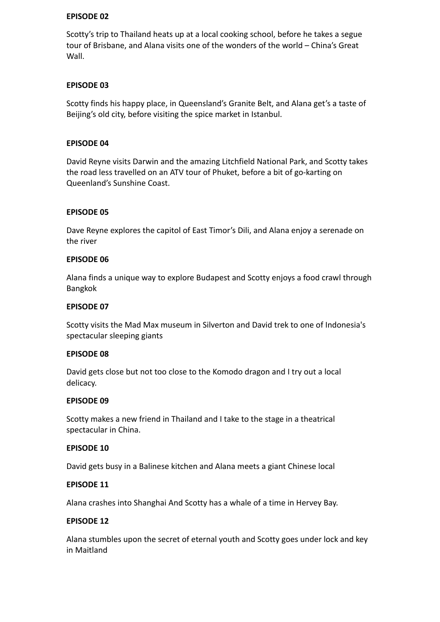#### **EPISODE 02**

Scotty's trip to Thailand heats up at a local cooking school, before he takes a segue tour of Brisbane, and Alana visits one of the wonders of the world – China's Great Wall.

### **EPISODE 03**

Scotty finds his happy place, in Queensland's Granite Belt, and Alana get's a taste of Beijing's old city, before visiting the spice market in Istanbul.

### **EPISODE 04**

David Reyne visits Darwin and the amazing Litchfield National Park, and Scotty takes the road less travelled on an ATV tour of Phuket, before a bit of go-karting on Queenland's Sunshine Coast.

### **EPISODE 05**

Dave Reyne explores the capitol of East Timor's Dili, and Alana enjoy a serenade on the river

#### **EPISODE 06**

Alana finds a unique way to explore Budapest and Scotty enjoys a food crawl through Bangkok

### **EPISODE 07**

Scotty visits the Mad Max museum in Silverton and David trek to one of Indonesia's spectacular sleeping giants

### **EPISODE 08**

David gets close but not too close to the Komodo dragon and I try out a local delicacy.

### **EPISODE 09**

Scotty makes a new friend in Thailand and I take to the stage in a theatrical spectacular in China.

#### **EPISODE 10**

David gets busy in a Balinese kitchen and Alana meets a giant Chinese local

## **EPISODE 11**

Alana crashes into Shanghai And Scotty has a whale of a time in Hervey Bay.

## **EPISODE 12**

Alana stumbles upon the secret of eternal youth and Scotty goes under lock and key in Maitland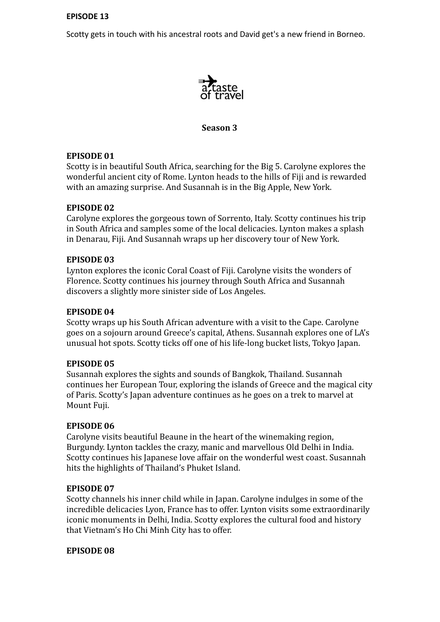## **EPISODE 13**

Scotty gets in touch with his ancestral roots and David get's a new friend in Borneo.



**Season 3**

## **EPISODE 01**

Scotty is in beautiful South Africa, searching for the Big 5. Carolyne explores the wonderful ancient city of Rome. Lynton heads to the hills of Fiji and is rewarded with an amazing surprise. And Susannah is in the Big Apple, New York.

## **EPISODE 02**

Carolyne explores the gorgeous town of Sorrento, Italy. Scotty continues his trip in South Africa and samples some of the local delicacies. Lynton makes a splash in Denarau, Fiji. And Susannah wraps up her discovery tour of New York.

## **EPISODE 03**

Lynton explores the iconic Coral Coast of Fiji. Carolyne visits the wonders of Florence. Scotty continues his journey through South Africa and Susannah discovers a slightly more sinister side of Los Angeles.

## **EPISODE 04**

Scotty wraps up his South African adventure with a visit to the Cape. Carolyne goes on a sojourn around Greece's capital, Athens. Susannah explores one of LA's unusual hot spots. Scotty ticks off one of his life-long bucket lists, Tokyo Japan.

## **EPISODE 05**

Susannah explores the sights and sounds of Bangkok, Thailand. Susannah continues her European Tour, exploring the islands of Greece and the magical city of Paris. Scotty's Japan adventure continues as he goes on a trek to marvel at Mount Fuji.

## **EPISODE 06**

Carolyne visits beautiful Beaune in the heart of the winemaking region, Burgundy. Lynton tackles the crazy, manic and marvellous Old Delhi in India. Scotty continues his Japanese love affair on the wonderful west coast. Susannah hits the highlights of Thailand's Phuket Island.

## **EPISODE 07**

Scotty channels his inner child while in Japan. Carolyne indulges in some of the incredible delicacies Lyon, France has to offer. Lynton visits some extraordinarily iconic monuments in Delhi, India. Scotty explores the cultural food and history that Vietnam's Ho Chi Minh City has to offer.

**EPISODE 08**